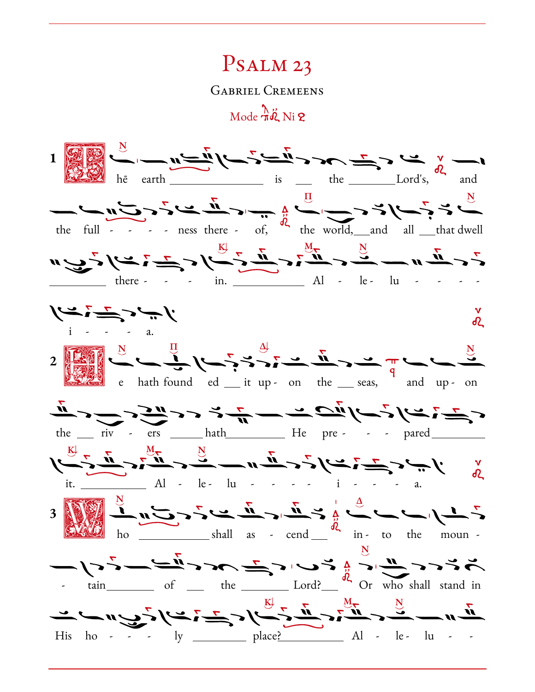## Psalm 23

Gabriel Cremeens

 $\text{Mode } \frac{\lambda}{\pi} \ddot{\phi}$  Ni 2

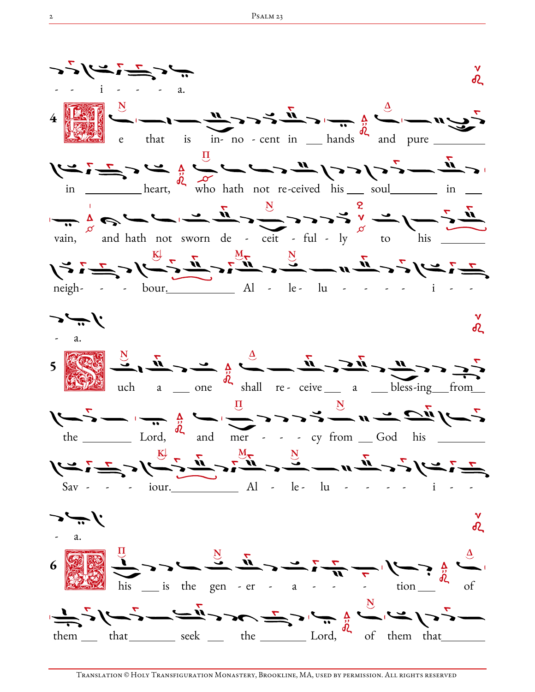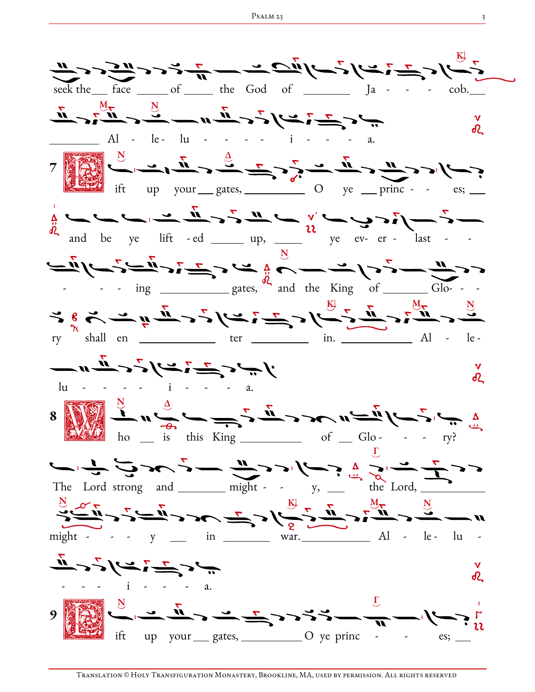الاس کے ایسے تاس کے ساتھ سے مسلم کے اس کے دیکھیے تھا کہ اس کے اس کے اس کے دیکھیے تھا کہ اس کے اس کے دیکھیے تھا<br>میں اس کے باہر کے باہر کی باہر کی ساتھ ہے کہ اس کے دیکھیے تھا کہ اس کے باہر کی باہر کر دیکھیے تھا کہ اس کے باہ seek the face of the God of Ja - - - cob.  $M_{\nabla}$  N d2 Al - le lu - - - - i - - - a.  $7$ Ν Δ up your gates,  $\qquad \qquad$  O ye princ - - es; and be ye lift - ed  $\frac{v}{v}$  up,  $\frac{v}{v}$  be  $\frac{v}{v}$  ev- er - last -Ν  $\frac{1}{2}$  -  $\frac{1}{2}$  ing <u>electron states</u>, and the King of  $\_\_$  Glo- - - $K = \sum_{n=1}^{\infty}$  M ry shall en \_\_\_\_\_\_\_\_\_\_\_ ter \_\_\_\_\_\_\_\_\_ in. \_\_\_\_\_\_\_\_\_\_ Al - le - $\frac{u}{u}$  -  $\frac{u}{u}$  -  $\frac{v}{u}$  -  $\frac{v}{u}$  -  $\frac{v}{u}$  -  $\frac{v}{u}$  -  $\frac{v}{u}$  -  $\frac{v}{u}$  -  $\frac{v}{u}$ R  $\begin{picture}(180,10) \put(0,0){\line(1,0){15}} \put(15,0){\line(1,0){15}} \put(15,0){\line(1,0){15}} \put(15,0){\line(1,0){15}} \put(15,0){\line(1,0){15}} \put(15,0){\line(1,0){15}} \put(15,0){\line(1,0){15}} \put(15,0){\line(1,0){15}} \put(15,0){\line(1,0){15}} \put(15,0){\line(1,0){15}} \put(15,0){\line(1,0){15}} \put(15,0){\line($ is this King  $\frac{\ }{\ }$  of  $\frac{\ }{2}$  Glo- -- - ry? Γ The Lord strong and  $\_\_$  might - -  $\_\mathrm{y,} \_\_$  the Lord, Ν Κ↓ Μ Ν might - - - y \_\_ in \_\_\_\_\_\_ war. \_\_\_\_\_\_\_\_ Al - le - lu - $\frac{\partial}{\partial t}$  $\mathbf v$ R  $\begin{picture}(180,10) \put(0,0){\line(1,0){10}} \put(10,0){\line(1,0){10}} \put(10,0){\line(1,0){10}} \put(10,0){\line(1,0){10}} \put(10,0){\line(1,0){10}} \put(10,0){\line(1,0){10}} \put(10,0){\line(1,0){10}} \put(10,0){\line(1,0){10}} \put(10,0){\line(1,0){10}} \put(10,0){\line(1,0){10}} \put(10,0){\line(1,0){10}} \put(10,0){\line($ Ν Γ up your gates, O ye princ - es;